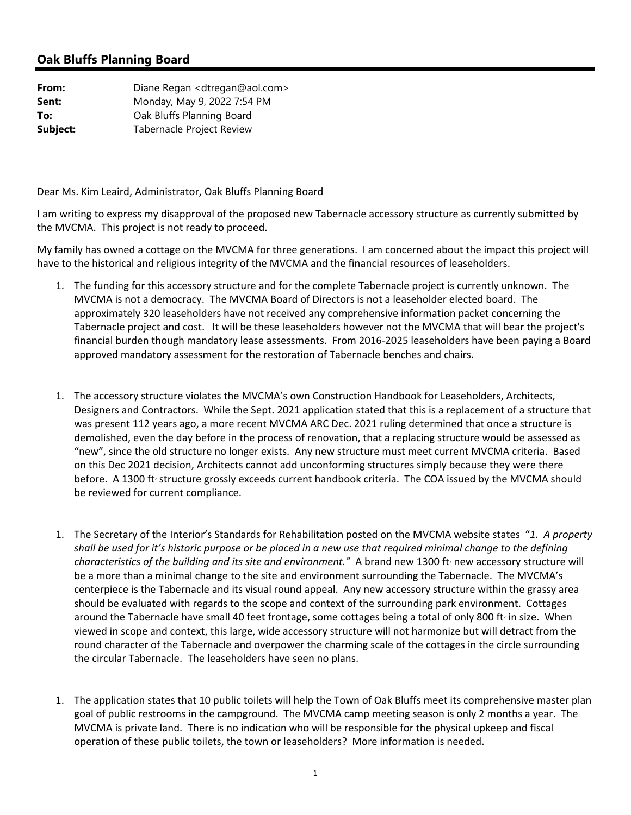## **Oak Bluffs Planning Board**

| From:    | Diane Regan < dtregan@aol.com> |
|----------|--------------------------------|
| Sent:    | Monday, May 9, 2022 7:54 PM    |
| To:      | Oak Bluffs Planning Board      |
| Subject: | Tabernacle Project Review      |

Dear Ms. Kim Leaird, Administrator, Oak Bluffs Planning Board

I am writing to express my disapproval of the proposed new Tabernacle accessory structure as currently submitted by the MVCMA. This project is not ready to proceed.

My family has owned a cottage on the MVCMA for three generations. I am concerned about the impact this project will have to the historical and religious integrity of the MVCMA and the financial resources of leaseholders.

- 1. The funding for this accessory structure and for the complete Tabernacle project is currently unknown. The MVCMA is not a democracy. The MVCMA Board of Directors is not a leaseholder elected board. The approximately 320 leaseholders have not received any comprehensive information packet concerning the Tabernacle project and cost. It will be these leaseholders however not the MVCMA that will bear the project's financial burden though mandatory lease assessments. From 2016‐2025 leaseholders have been paying a Board approved mandatory assessment for the restoration of Tabernacle benches and chairs.
- 1. The accessory structure violates the MVCMA's own Construction Handbook for Leaseholders, Architects, Designers and Contractors. While the Sept. 2021 application stated that this is a replacement of a structure that was present 112 years ago, a more recent MVCMA ARC Dec. 2021 ruling determined that once a structure is demolished, even the day before in the process of renovation, that a replacing structure would be assessed as "new", since the old structure no longer exists. Any new structure must meet current MVCMA criteria. Based on this Dec 2021 decision, Architects cannot add unconforming structures simply because they were there before. A 1300 ft<sup>2</sup> structure grossly exceeds current handbook criteria. The COA issued by the MVCMA should be reviewed for current compliance.
- 1. The Secretary of the Interior's Standards for Rehabilitation posted on the MVCMA website states "*1. A property* shall be used for it's historic purpose or be placed in a new use that required minimal change to the defining *characteristics of the building and its site and environment."* A brand new 1300 ft2 new accessory structure will be a more than a minimal change to the site and environment surrounding the Tabernacle. The MVCMA's centerpiece is the Tabernacle and its visual round appeal. Any new accessory structure within the grassy area should be evaluated with regards to the scope and context of the surrounding park environment. Cottages around the Tabernacle have small 40 feet frontage, some cottages being a total of only 800 ft<sup>2</sup> in size. When viewed in scope and context, this large, wide accessory structure will not harmonize but will detract from the round character of the Tabernacle and overpower the charming scale of the cottages in the circle surrounding the circular Tabernacle. The leaseholders have seen no plans.
- 1. The application states that 10 public toilets will help the Town of Oak Bluffs meet its comprehensive master plan goal of public restrooms in the campground. The MVCMA camp meeting season is only 2 months a year. The MVCMA is private land. There is no indication who will be responsible for the physical upkeep and fiscal operation of these public toilets, the town or leaseholders? More information is needed.